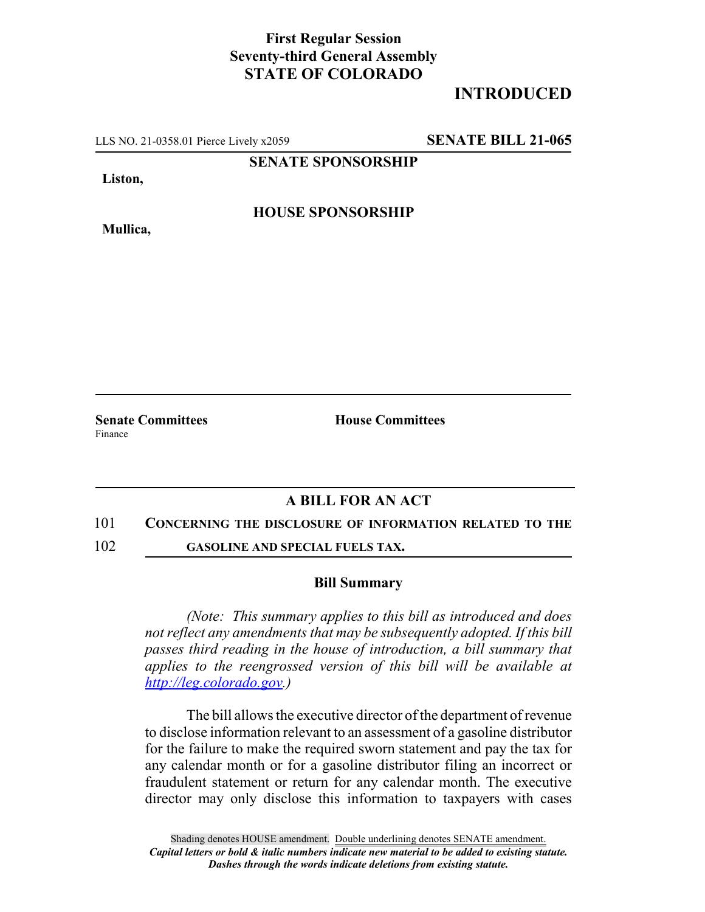## **First Regular Session Seventy-third General Assembly STATE OF COLORADO**

# **INTRODUCED**

LLS NO. 21-0358.01 Pierce Lively x2059 **SENATE BILL 21-065**

**SENATE SPONSORSHIP**

**Liston,**

**HOUSE SPONSORSHIP**

**Mullica,**

**Senate Committees House Committees** Finance

### **A BILL FOR AN ACT**

### 101 **CONCERNING THE DISCLOSURE OF INFORMATION RELATED TO THE**

102 **GASOLINE AND SPECIAL FUELS TAX.**

### **Bill Summary**

*(Note: This summary applies to this bill as introduced and does not reflect any amendments that may be subsequently adopted. If this bill passes third reading in the house of introduction, a bill summary that applies to the reengrossed version of this bill will be available at http://leg.colorado.gov.)*

The bill allows the executive director of the department of revenue to disclose information relevant to an assessment of a gasoline distributor for the failure to make the required sworn statement and pay the tax for any calendar month or for a gasoline distributor filing an incorrect or fraudulent statement or return for any calendar month. The executive director may only disclose this information to taxpayers with cases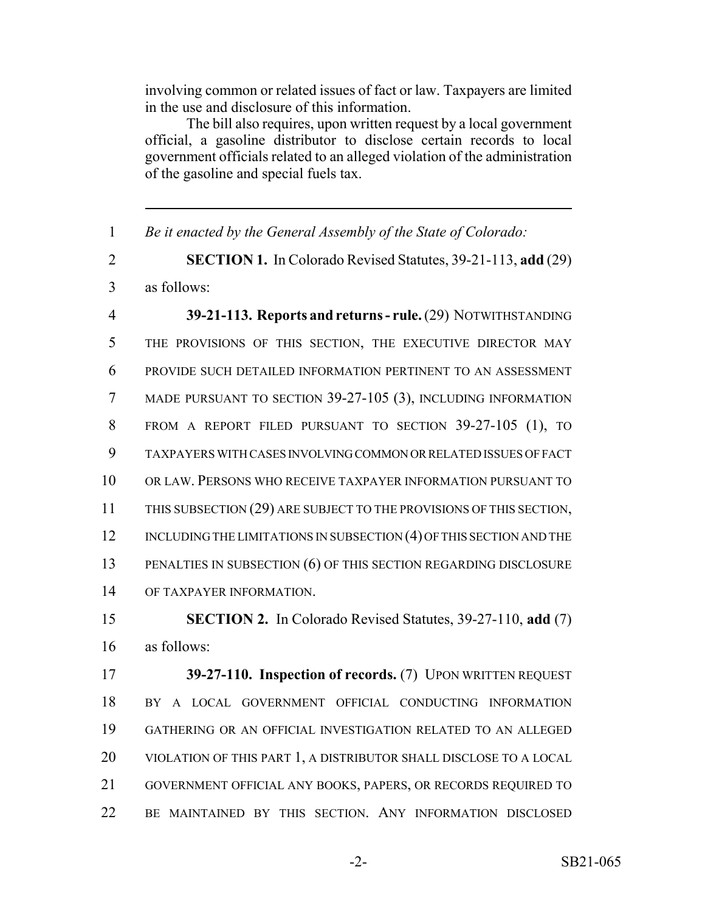involving common or related issues of fact or law. Taxpayers are limited in the use and disclosure of this information.

The bill also requires, upon written request by a local government official, a gasoline distributor to disclose certain records to local government officials related to an alleged violation of the administration of the gasoline and special fuels tax.

 *Be it enacted by the General Assembly of the State of Colorado:* **SECTION 1.** In Colorado Revised Statutes, 39-21-113, **add** (29) as follows: **39-21-113. Reports and returns - rule.** (29) NOTWITHSTANDING THE PROVISIONS OF THIS SECTION, THE EXECUTIVE DIRECTOR MAY PROVIDE SUCH DETAILED INFORMATION PERTINENT TO AN ASSESSMENT MADE PURSUANT TO SECTION 39-27-105 (3), INCLUDING INFORMATION FROM A REPORT FILED PURSUANT TO SECTION 39-27-105 (1), TO TAXPAYERS WITH CASES INVOLVING COMMON OR RELATED ISSUES OF FACT OR LAW. PERSONS WHO RECEIVE TAXPAYER INFORMATION PURSUANT TO 11 THIS SUBSECTION (29) ARE SUBJECT TO THE PROVISIONS OF THIS SECTION, 12 INCLUDING THE LIMITATIONS IN SUBSECTION (4) OF THIS SECTION AND THE PENALTIES IN SUBSECTION (6) OF THIS SECTION REGARDING DISCLOSURE OF TAXPAYER INFORMATION. **SECTION 2.** In Colorado Revised Statutes, 39-27-110, **add** (7)

as follows:

 **39-27-110. Inspection of records.** (7) UPON WRITTEN REQUEST BY A LOCAL GOVERNMENT OFFICIAL CONDUCTING INFORMATION GATHERING OR AN OFFICIAL INVESTIGATION RELATED TO AN ALLEGED 20 VIOLATION OF THIS PART 1, A DISTRIBUTOR SHALL DISCLOSE TO A LOCAL GOVERNMENT OFFICIAL ANY BOOKS, PAPERS, OR RECORDS REQUIRED TO BE MAINTAINED BY THIS SECTION. ANY INFORMATION DISCLOSED